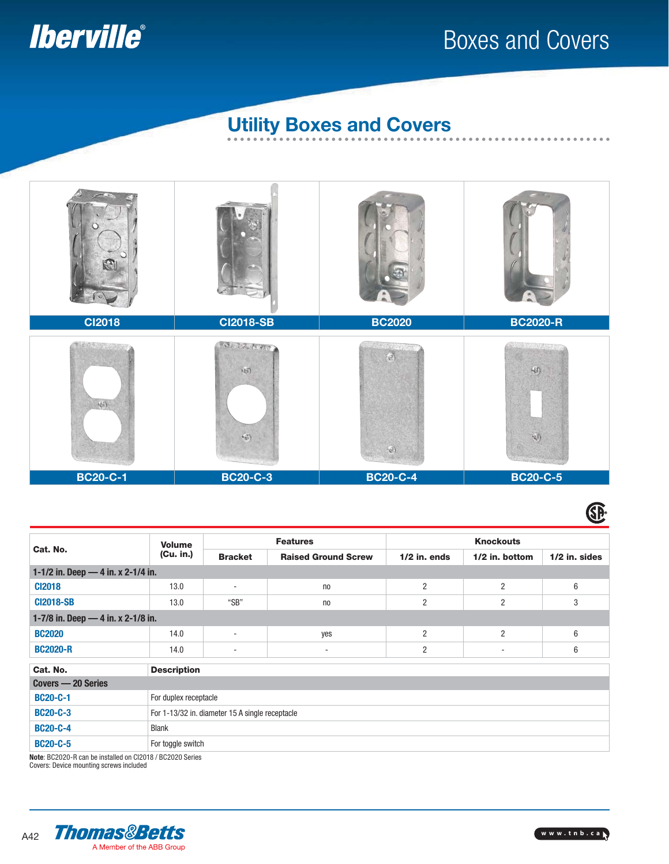

## Boxes and Covers

. . . . . . . . . . . . . . .

#### **Utility Boxes and Covers**



#### GP.

| Cat. No.                           | <b>Volume</b><br>(Cu. in.)                      | <b>Features</b>          |                            | <b>Knockouts</b> |                |                 |  |
|------------------------------------|-------------------------------------------------|--------------------------|----------------------------|------------------|----------------|-----------------|--|
|                                    |                                                 | <b>Bracket</b>           | <b>Raised Ground Screw</b> | $1/2$ in. ends   | 1/2 in. bottom | $1/2$ in. sides |  |
| 1-1/2 in. Deep - 4 in. x 2-1/4 in. |                                                 |                          |                            |                  |                |                 |  |
| <b>CI2018</b>                      | 13.0                                            | $\overline{\phantom{a}}$ | n <sub>0</sub>             | $\overline{2}$   | $\overline{2}$ | 6               |  |
| <b>CI2018-SB</b>                   | 13.0                                            | "SB"                     | n <sub>0</sub>             | 2                | 2              | 3               |  |
| 1-7/8 in. Deep - 4 in. x 2-1/8 in. |                                                 |                          |                            |                  |                |                 |  |
| <b>BC2020</b>                      | 14.0                                            | ٠                        | yes                        | $\overline{2}$   | $\overline{2}$ | 6               |  |
| <b>BC2020-R</b>                    | 14.0                                            | ٠                        | ٠                          | 2                |                | 6               |  |
| Cat. No.<br><b>Description</b>     |                                                 |                          |                            |                  |                |                 |  |
| Covers - 20 Series                 |                                                 |                          |                            |                  |                |                 |  |
| <b>BC20-C-1</b>                    | For duplex receptacle                           |                          |                            |                  |                |                 |  |
| <b>BC20-C-3</b>                    | For 1-13/32 in. diameter 15 A single receptacle |                          |                            |                  |                |                 |  |
| <b>BC20-C-4</b>                    | <b>Blank</b>                                    |                          |                            |                  |                |                 |  |
| <b>BC20-C-5</b>                    | For toggle switch                               |                          |                            |                  |                |                 |  |

**Note**: BC2020-R can be installed on CI2018 / BC2020 Series Covers: Device mounting screws included